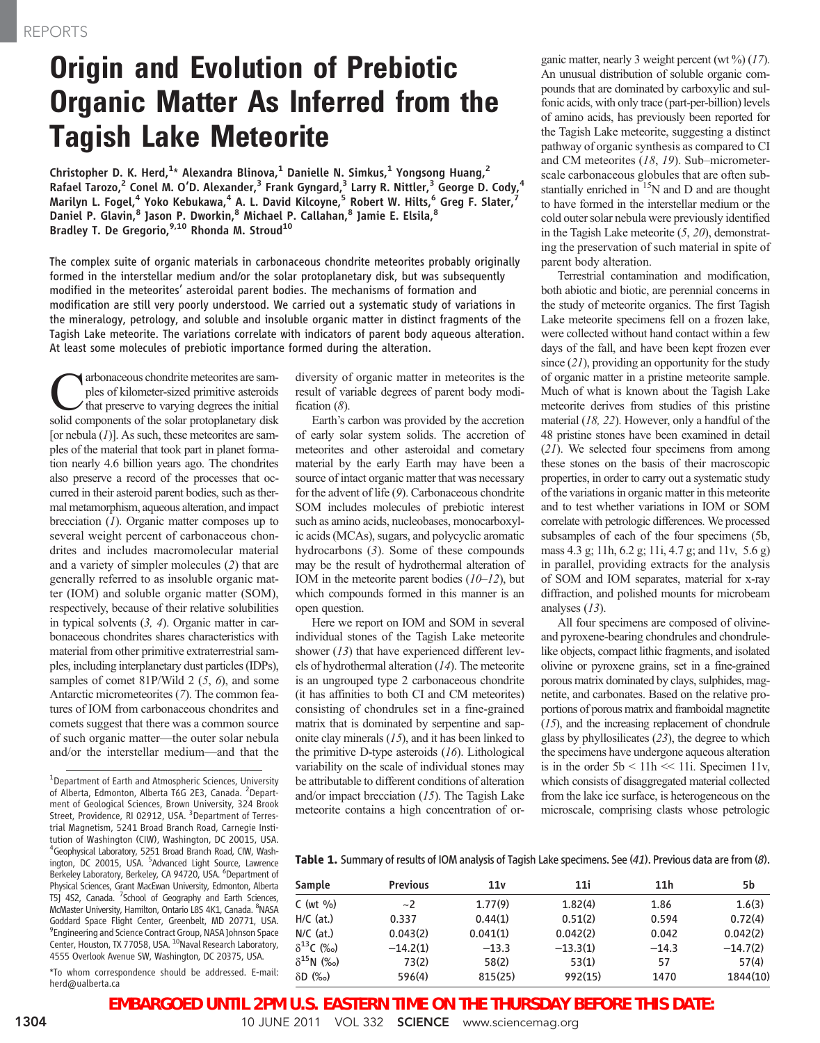# Origin and Evolution of Prebiotic Organic Matter As Inferred from the Tagish Lake Meteorite

Christopher D. K. Herd, <sup>1</sup>\* Alexandra Blinova, <sup>1</sup> Danielle N. Simkus, <sup>1</sup> Yongsong Huang, <sup>2</sup> Rafael Tarozo,<sup>2</sup> Conel M. O'D. Alexander,<sup>3</sup> Frank Gyngard,<sup>3</sup> Larry R. Nittler,<sup>3</sup> George D. Cody,<sup>4</sup> Marilyn L. Fogel, $^4$  Yoko Kebukawa, $^4$  A. L. David Kilcoyne, $^5$  Robert W. Hilts, $^6$  Greg F. Slater, $^7$ Daniel P. Glavin, $^8$  Jason P. Dworkin, $^8$  Michael P. Callahan, $^8$  Jamie E. Elsila, $^8$ Bradley T. De Gregorio,<sup>9,10</sup> Rhonda M. Stroud<sup>10</sup>

The complex suite of organic materials in carbonaceous chondrite meteorites probably originally formed in the interstellar medium and/or the solar protoplanetary disk, but was subsequently modified in the meteorites' asteroidal parent bodies. The mechanisms of formation and modification are still very poorly understood. We carried out a systematic study of variations in the mineralogy, petrology, and soluble and insoluble organic matter in distinct fragments of the Tagish Lake meteorite. The variations correlate with indicators of parent body aqueous alteration. At least some molecules of prebiotic importance formed during the alteration.

**C**<br>
explose of kilometer-sized primitive asteroids<br>
that preserve to varying degrees the initial<br>
solid components of the solar protoplanetary disk ples of kilometer-sized primitive asteroids solid components of the solar protoplanetary disk [or nebula  $(I)$ ]. As such, these meteorites are samples of the material that took part in planet formation nearly 4.6 billion years ago. The chondrites also preserve a record of the processes that occurred in their asteroid parent bodies, such as thermal metamorphism, aqueous alteration, and impact brecciation  $(1)$ . Organic matter composes up to several weight percent of carbonaceous chondrites and includes macromolecular material and a variety of simpler molecules (2) that are generally referred to as insoluble organic matter (IOM) and soluble organic matter (SOM), respectively, because of their relative solubilities in typical solvents (3, 4). Organic matter in carbonaceous chondrites shares characteristics with material from other primitive extraterrestrial samples, including interplanetary dust particles (IDPs), samples of comet 81P/Wild 2 (5, 6), and some Antarctic micrometeorites (7). The common features of IOM from carbonaceous chondrites and comets suggest that there was a common source of such organic matter—the outer solar nebula and/or the interstellar medium—and that the

<sup>1</sup>Department of Earth and Atmospheric Sciences, University of Alberta, Edmonton, Alberta T6G 2E3, Canada. <sup>2</sup>Department of Geological Sciences, Brown University, 324 Brook Street, Providence, RI 02912, USA. <sup>3</sup>Department of Terrestrial Magnetism, 5241 Broad Branch Road, Carnegie Institution of Washington (CIW), Washington, DC 20015, USA. 4 Geophysical Laboratory, 5251 Broad Branch Road, CIW, Washington, DC 20015, USA. <sup>5</sup>Advanced Light Source, Lawrence Berkeley Laboratory, Berkeley, CA 94720, USA. <sup>6</sup>Department of Physical Sciences, Grant MacEwan University, Edmonton, Alberta T5J 4S2, Canada. <sup>7</sup>School of Geography and Earth Sciences, McMaster University, Hamilton, Ontario L8S 4K1, Canada. <sup>8</sup>NASA Goddard Space Flight Center, Greenbelt, MD 20771, USA. 9 Engineering and Science Contract Group, NASA Johnson Space Center, Houston, TX 77058, USA. <sup>10</sup>Naval Research Laboratory, 4555 Overlook Avenue SW, Washington, DC 20375, USA.

\*To whom correspondence should be addressed. E-mail: herd@ualberta.ca

diversity of organic matter in meteorites is the result of variable degrees of parent body modification  $(8)$ .

Earth's carbon was provided by the accretion of early solar system solids. The accretion of meteorites and other asteroidal and cometary material by the early Earth may have been a source of intact organic matter that was necessary for the advent of life (9). Carbonaceous chondrite SOM includes molecules of prebiotic interest such as amino acids, nucleobases, monocarboxylic acids (MCAs), sugars, and polycyclic aromatic hydrocarbons (3). Some of these compounds may be the result of hydrothermal alteration of IOM in the meteorite parent bodies  $(10-12)$ , but which compounds formed in this manner is an open question.

Here we report on IOM and SOM in several individual stones of the Tagish Lake meteorite shower (13) that have experienced different levels of hydrothermal alteration (14). The meteorite is an ungrouped type 2 carbonaceous chondrite (it has affinities to both CI and CM meteorites) consisting of chondrules set in a fine-grained matrix that is dominated by serpentine and saponite clay minerals (15), and it has been linked to the primitive D-type asteroids  $(16)$ . Lithological variability on the scale of individual stones may be attributable to different conditions of alteration and/or impact brecciation (15). The Tagish Lake meteorite contains a high concentration of organic matter, nearly 3 weight percent (wt  $\%$ ) (17). An unusual distribution of soluble organic compounds that are dominated by carboxylic and sulfonic acids, with only trace (part-per-billion) levels of amino acids, has previously been reported for the Tagish Lake meteorite, suggesting a distinct pathway of organic synthesis as compared to CI and CM meteorites (18, 19). Sub–micrometerscale carbonaceous globules that are often substantially enriched in  $15$ N and D and are thought to have formed in the interstellar medium or the cold outer solar nebula were previously identified in the Tagish Lake meteorite  $(5, 20)$ , demonstrating the preservation of such material in spite of parent body alteration.

Terrestrial contamination and modification, both abiotic and biotic, are perennial concerns in the study of meteorite organics. The first Tagish Lake meteorite specimens fell on a frozen lake, were collected without hand contact within a few days of the fall, and have been kept frozen ever since (21), providing an opportunity for the study of organic matter in a pristine meteorite sample. Much of what is known about the Tagish Lake meteorite derives from studies of this pristine material (18, 22). However, only a handful of the 48 pristine stones have been examined in detail (21). We selected four specimens from among these stones on the basis of their macroscopic properties, in order to carry out a systematic study of the variations in organic matter in this meteorite and to test whether variations in IOM or SOM correlate with petrologic differences. We processed subsamples of each of the four specimens (5b, mass 4.3 g; 11h, 6.2 g; 11i, 4.7 g; and 11v, 5.6 g) in parallel, providing extracts for the analysis of SOM and IOM separates, material for x-ray diffraction, and polished mounts for microbeam analyses (13).

All four specimens are composed of olivineand pyroxene-bearing chondrules and chondrulelike objects, compact lithic fragments, and isolated olivine or pyroxene grains, set in a fine-grained porous matrix dominated by clays, sulphides, magnetite, and carbonates. Based on the relative proportions of porous matrix and framboidal magnetite (15), and the increasing replacement of chondrule glass by phyllosilicates (23), the degree to which the specimens have undergone aqueous alteration is in the order  $5b < 11h \ll 11i$ . Specimen 11v, which consists of disaggregated material collected from the lake ice surface, is heterogeneous on the microscale, comprising clasts whose petrologic

Table 1. Summary of results of IOM analysis of Tagish Lake specimens. See (41). Previous data are from (8).

| Sample              | <b>Previous</b> | 11v      | 11i        | 11 <sub>h</sub> | 5b         |
|---------------------|-----------------|----------|------------|-----------------|------------|
| $C$ (wt $\%$ )      | $\sim$ 2        | 1.77(9)  | 1.82(4)    | 1.86            | 1.6(3)     |
| $H/C$ (at.)         | 0.337           | 0.44(1)  | 0.51(2)    | 0.594           | 0.72(4)    |
| $N/C$ (at.)         | 0.043(2)        | 0.041(1) | 0.042(2)   | 0.042           | 0.042(2)   |
| $\delta^{13}$ C (‰) | $-14.2(1)$      | $-13.3$  | $-13.3(1)$ | $-14.3$         | $-14.7(2)$ |
| $\delta^{15}$ N (‰) | 73(2)           | 58(2)    | 53(1)      | 57              | 57(4)      |
| $\delta D$ (%)      | 596(4)          | 815(25)  | 992(15)    | 1470            | 1844(10)   |

**EMBARGOED UNTIL 2PM U.S. EASTERN TIME ON THE THURSDAY BEFORE THIS DATE:**

1304 10 JUNE 2011 VOL 332 SCIENCE www.sciencemag.org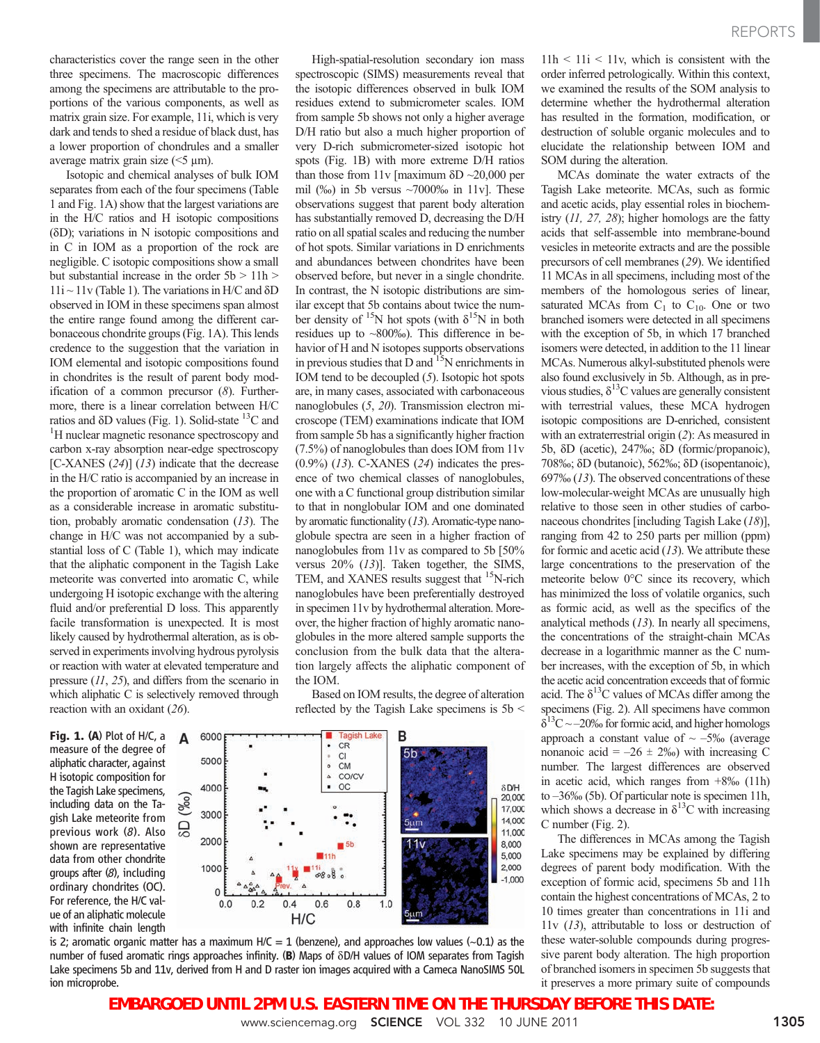characteristics cover the range seen in the other three specimens. The macroscopic differences among the specimens are attributable to the proportions of the various components, as well as matrix grain size. For example, 11i, which is very dark and tends to shed a residue of black dust, has a lower proportion of chondrules and a smaller average matrix grain size  $(<5 \mu m$ ).

Isotopic and chemical analyses of bulk IOM separates from each of the four specimens (Table 1 and Fig. 1A) show that the largest variations are in the H/C ratios and H isotopic compositions  $( \delta D)$ ; variations in N isotopic compositions and in C in IOM as a proportion of the rock are negligible. C isotopic compositions show a small but substantial increase in the order 5b > 11h >  $11i \sim 11v$  (Table 1). The variations in H/C and  $\delta D$ observed in IOM in these specimens span almost the entire range found among the different carbonaceous chondrite groups (Fig. 1A). This lends credence to the suggestion that the variation in IOM elemental and isotopic compositions found in chondrites is the result of parent body modification of a common precursor  $(8)$ . Furthermore, there is a linear correlation between H/C ratios and  $\delta$ D values (Fig. 1). Solid-state  $^{13}$ C and <sup>1</sup>H nuclear magnetic resonance spectroscopy and carbon x-ray absorption near-edge spectroscopy [C-XANES  $(24)$ ]  $(13)$  indicate that the decrease in the H/C ratio is accompanied by an increase in the proportion of aromatic C in the IOM as well as a considerable increase in aromatic substitution, probably aromatic condensation (13). The change in H/C was not accompanied by a substantial loss of C (Table 1), which may indicate that the aliphatic component in the Tagish Lake meteorite was converted into aromatic C, while undergoing H isotopic exchange with the altering fluid and/or preferential D loss. This apparently facile transformation is unexpected. It is most likely caused by hydrothermal alteration, as is observed in experiments involving hydrous pyrolysis or reaction with water at elevated temperature and pressure (11, 25), and differs from the scenario in which aliphatic C is selectively removed through reaction with an oxidant (26).

Fig. 1. (A) Plot of H/C, a measure of the degree of aliphatic character, against H isotopic composition for the Tagish Lake specimens, including data on the Tagish Lake meteorite from previous work (8). Also shown are representative data from other chondrite groups after (8), including ordinary chondrites (OC). For reference, the H/C value of an aliphatic molecule with infinite chain length

High-spatial-resolution secondary ion mass spectroscopic (SIMS) measurements reveal that the isotopic differences observed in bulk IOM residues extend to submicrometer scales. IOM from sample 5b shows not only a higher average D/H ratio but also a much higher proportion of very D-rich submicrometer-sized isotopic hot spots (Fig. 1B) with more extreme D/H ratios than those from  $11v$  [maximum  $\delta D \sim 20,000$  per mil (‰) in 5b versus ~7000‰ in 11v]. These observations suggest that parent body alteration has substantially removed D, decreasing the D/H ratio on all spatial scales and reducing the number of hot spots. Similar variations in D enrichments and abundances between chondrites have been observed before, but never in a single chondrite. In contrast, the N isotopic distributions are similar except that 5b contains about twice the number density of  $^{15}N$  hot spots (with  $\delta^{15}N$  in both residues up to ~800‰). This difference in behavior of H and N isotopes supports observations in previous studies that D and  $15$ N enrichments in IOM tend to be decoupled (5). Isotopic hot spots are, in many cases, associated with carbonaceous nanoglobules (5, 20). Transmission electron microscope (TEM) examinations indicate that IOM from sample 5b has a significantly higher fraction (7.5%) of nanoglobules than does IOM from 11v  $(0.9\%)$   $(13)$ . C-XANES  $(24)$  indicates the presence of two chemical classes of nanoglobules, one with a C functional group distribution similar to that in nonglobular IOM and one dominated by aromatic functionality (13). Aromatic-type nanoglobule spectra are seen in a higher fraction of nanoglobules from 11v as compared to 5b [50% versus 20% (13)]. Taken together, the SIMS, TEM, and XANES results suggest that <sup>15</sup>N-rich nanoglobules have been preferentially destroyed in specimen 11v by hydrothermal alteration. Moreover, the higher fraction of highly aromatic nanoglobules in the more altered sample supports the conclusion from the bulk data that the alteration largely affects the aliphatic component of the IOM.

Based on IOM results, the degree of alteration reflected by the Tagish Lake specimens is 5b <



is 2; aromatic organic matter has a maximum  $H/C = 1$  (benzene), and approaches low values ( $\sim$ 0.1) as the number of fused aromatic rings approaches infinity. (B) Maps of  $\delta$ D/H values of IOM separates from Tagish Lake specimens 5b and 11v, derived from H and D raster ion images acquired with a Cameca NanoSIMS 50L ion microprobe.

 $11h < 11i < 11v$ , which is consistent with the order inferred petrologically. Within this context, we examined the results of the SOM analysis to determine whether the hydrothermal alteration has resulted in the formation, modification, or destruction of soluble organic molecules and to elucidate the relationship between IOM and SOM during the alteration.

MCAs dominate the water extracts of the Tagish Lake meteorite. MCAs, such as formic and acetic acids, play essential roles in biochemistry  $(11, 27, 28)$ ; higher homologs are the fatty acids that self-assemble into membrane-bound vesicles in meteorite extracts and are the possible precursors of cell membranes (29). We identified 11 MCAs in all specimens, including most of the members of the homologous series of linear, saturated MCAs from  $C_1$  to  $C_{10}$ . One or two branched isomers were detected in all specimens with the exception of 5b, in which 17 branched isomers were detected, in addition to the 11 linear MCAs. Numerous alkyl-substituted phenols were also found exclusively in 5b. Although, as in previous studies,  $\delta^{13}$ C values are generally consistent with terrestrial values, these MCA hydrogen isotopic compositions are D-enriched, consistent with an extraterrestrial origin (2): As measured in 5b, dD (acetic), 247‰; dD (formic/propanoic), 708‰; dD (butanoic), 562‰; dD (isopentanoic), 697‰ (13). The observed concentrations of these low-molecular-weight MCAs are unusually high relative to those seen in other studies of carbonaceous chondrites [including Tagish Lake (18)], ranging from 42 to 250 parts per million (ppm) for formic and acetic acid  $(13)$ . We attribute these large concentrations to the preservation of the meteorite below 0°C since its recovery, which has minimized the loss of volatile organics, such as formic acid, as well as the specifics of the analytical methods (13). In nearly all specimens, the concentrations of the straight-chain MCAs decrease in a logarithmic manner as the C number increases, with the exception of 5b, in which the acetic acid concentration exceeds that of formic acid. The  $\delta^{13}$ C values of MCAs differ among the specimens (Fig. 2). All specimens have common  $\delta^{13}$ C ~ –20‰ for formic acid, and higher homologs approach a constant value of  $\sim -5\%$  (average nonanoic acid =  $-26 \pm 2\%$ ) with increasing C number. The largest differences are observed in acetic acid, which ranges from +8‰ (11h) to –36‰ (5b). Of particular note is specimen 11h, which shows a decrease in  $\delta^{13}$ C with increasing C number (Fig. 2).

The differences in MCAs among the Tagish Lake specimens may be explained by differing degrees of parent body modification. With the exception of formic acid, specimens 5b and 11h contain the highest concentrations of MCAs, 2 to 10 times greater than concentrations in 11i and 11v (13), attributable to loss or destruction of these water-soluble compounds during progressive parent body alteration. The high proportion of branched isomers in specimen 5b suggests that it preserves a more primary suite of compounds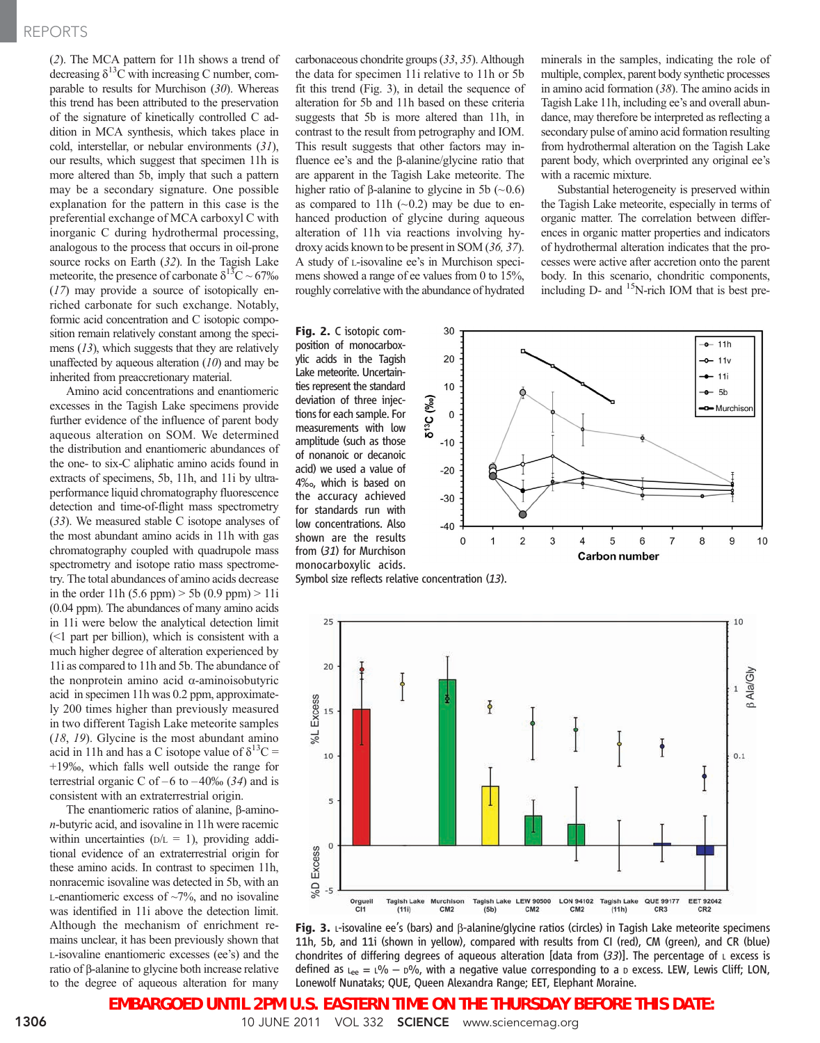### REPORTS

(2). The MCA pattern for 11h shows a trend of decreasing  $\delta^{13}$ C with increasing C number, comparable to results for Murchison  $(30)$ . Whereas this trend has been attributed to the preservation of the signature of kinetically controlled C addition in MCA synthesis, which takes place in cold, interstellar, or nebular environments (31), our results, which suggest that specimen 11h is more altered than 5b, imply that such a pattern may be a secondary signature. One possible explanation for the pattern in this case is the preferential exchange of MCA carboxyl C with inorganic C during hydrothermal processing, analogous to the process that occurs in oil-prone source rocks on Earth (32). In the Tagish Lake meteorite, the presence of carbonate  $\delta^{13}$ C ~ 67‰ (17) may provide a source of isotopically enriched carbonate for such exchange. Notably, formic acid concentration and C isotopic composition remain relatively constant among the specimens (13), which suggests that they are relatively unaffected by aqueous alteration  $(10)$  and may be inherited from preaccretionary material.

Amino acid concentrations and enantiomeric excesses in the Tagish Lake specimens provide further evidence of the influence of parent body aqueous alteration on SOM. We determined the distribution and enantiomeric abundances of the one- to six-C aliphatic amino acids found in extracts of specimens, 5b, 11h, and 11i by ultraperformance liquid chromatography fluorescence detection and time-of-flight mass spectrometry (33). We measured stable C isotope analyses of the most abundant amino acids in 11h with gas chromatography coupled with quadrupole mass spectrometry and isotope ratio mass spectrometry. The total abundances of amino acids decrease in the order 11h  $(5.6 \text{ ppm}) > 5b (0.9 \text{ ppm}) > 11i$ (0.04 ppm). The abundances of many amino acids in 11i were below the analytical detection limit (<1 part per billion), which is consistent with a much higher degree of alteration experienced by 11i as compared to 11h and 5b. The abundance of the nonprotein amino acid  $\alpha$ -aminoisobutyric acid in specimen 11h was 0.2 ppm, approximately 200 times higher than previously measured in two different Tagish Lake meteorite samples (18, 19). Glycine is the most abundant amino acid in 11h and has a C isotope value of  $\delta^{13}C =$ +19‰, which falls well outside the range for terrestrial organic C of –6 to –40‰ (34) and is consistent with an extraterrestrial origin.

The enantiomeric ratios of alanine, B-aminon-butyric acid, and isovaline in 11h were racemic within uncertainties ( $D/L = 1$ ), providing additional evidence of an extraterrestrial origin for these amino acids. In contrast to specimen 11h, nonracemic isovaline was detected in 5b, with an L-enantiomeric excess of  $\sim$ 7%, and no isovaline was identified in 11i above the detection limit. Although the mechanism of enrichment remains unclear, it has been previously shown that L-isovaline enantiomeric excesses (ee's) and the ratio of b-alanine to glycine both increase relative to the degree of aqueous alteration for many

carbonaceous chondrite groups (33, 35). Although the data for specimen 11i relative to 11h or 5b fit this trend (Fig. 3), in detail the sequence of alteration for 5b and 11h based on these criteria suggests that 5b is more altered than 11h, in contrast to the result from petrography and IOM. This result suggests that other factors may influence ee's and the  $\beta$ -alanine/glycine ratio that are apparent in the Tagish Lake meteorite. The higher ratio of  $\beta$ -alanine to glycine in 5b (~0.6) as compared to 11h  $(\sim 0.2)$  may be due to enhanced production of glycine during aqueous alteration of 11h via reactions involving hydroxy acids known to be present in SOM (36, 37). A study of L-isovaline ee's in Murchison specimens showed a range of ee values from 0 to 15%, roughly correlative with the abundance of hydrated

Fig. 2. C isotopic composition of monocarboxylic acids in the Tagish Lake meteorite. Uncertainties represent the standard deviation of three injections for each sample. For measurements with low amplitude (such as those of nonanoic or decanoic acid) we used a value of 4‰, which is based on the accuracy achieved for standards run with low concentrations. Also shown are the results from (31) for Murchison monocarboxylic acids.



with a racemic mixture.

minerals in the samples, indicating the role of multiple, complex, parent body synthetic processes in amino acid formation (38). The amino acids in Tagish Lake 11h, including ee's and overall abundance, may therefore be interpreted as reflecting a secondary pulse of amino acid formation resulting from hydrothermal alteration on the Tagish Lake parent body, which overprinted any original ee's

Substantial heterogeneity is preserved within the Tagish Lake meteorite, especially in terms of organic matter. The correlation between differences in organic matter properties and indicators of hydrothermal alteration indicates that the processes were active after accretion onto the parent body. In this scenario, chondritic components,

Symbol size reflects relative concentration (13).



Fig. 3. L-isovaline ee's (bars) and  $\beta$ -alanine/glycine ratios (circles) in Tagish Lake meteorite specimens 11h, 5b, and 11i (shown in yellow), compared with results from CI (red), CM (green), and CR (blue) chondrites of differing degrees of aqueous alteration [data from  $(33)$ ]. The percentage of  $\iota$  excess is defined as  $L_{\text{ep}} = 1\% - 5\%$ , with a negative value corresponding to a D excess. LEW, Lewis Cliff; LON, Lonewolf Nunataks; QUE, Queen Alexandra Range; EET, Elephant Moraine.

**EMBARGOED UNTIL 2PM U.S. EASTERN TIME ON THE THURSDAY BEFORE THIS DATE:**

1306 10 JUNE 2011 VOL 332 SCIENCE www.sciencemag.org